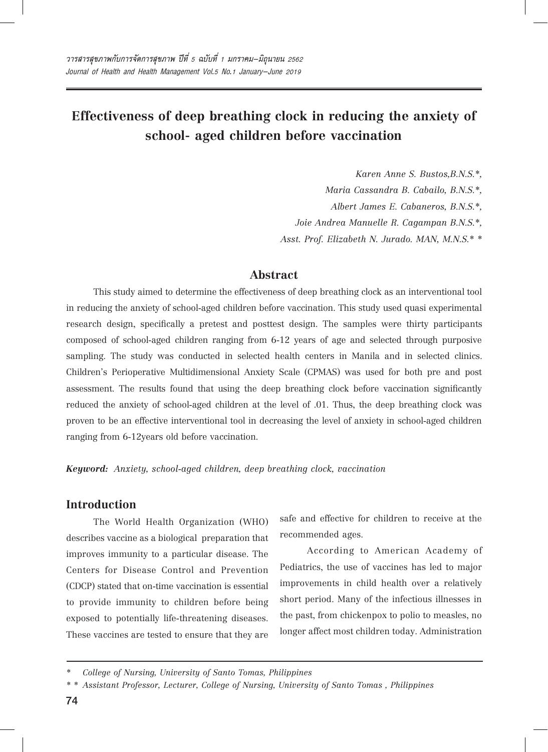# **Effectiveness of deep breathing clock in reducing the anxiety of school- aged children before vaccination**

*Karen Anne S. Bustos,B.N.S.\*,* 

*Maria Cassandra B. Cabailo, B.N.S.\*,* 

*Albert James E. Cabaneros, B.N.S.\*,*

 *Joie Andrea Manuelle R. Cagampan B.N.S.\*,*

 *Asst. Prof. Elizabeth N. Jurado. MAN, M.N.S.\* \**

# **Abstract**

This study aimed to determine the effectiveness of deep breathing clock as an interventional tool in reducing the anxiety of school-aged children before vaccination. This study used quasi experimental research design, specifically a pretest and posttest design. The samples were thirty participants composed of school-aged children ranging from 6-12 years of age and selected through purposive sampling. The study was conducted in selected health centers in Manila and in selected clinics. Children's Perioperative Multidimensional Anxiety Scale (CPMAS) was used for both pre and post assessment. The results found that using the deep breathing clock before vaccination significantly reduced the anxiety of school-aged children at the level of .01. Thus, the deep breathing clock was proven to be an effective interventional tool in decreasing the level of anxiety in school-aged children ranging from 6-12years old before vaccination.

*Keyword: Anxiety, school-aged children, deep breathing clock, vaccination*

## **Introduction**

The World Health Organization (WHO) describes vaccine as a biological preparation that improves immunity to a particular disease. The Centers for Disease Control and Prevention (CDCP) stated that on-time vaccination is essential to provide immunity to children before being exposed to potentially life-threatening diseases. These vaccines are tested to ensure that they are

safe and effective for children to receive at the recommended ages.

According to American Academy of Pediatrics, the use of vaccines has led to major improvements in child health over a relatively short period. Many of the infectious illnesses in the past, from chickenpox to polio to measles, no longer affect most children today. Administration

*<sup>\*</sup> College of Nursing, University of Santo Tomas, Philippines*

*<sup>\* \*</sup> Assistant Professor, Lecturer, College of Nursing, University of Santo Tomas , Philippines*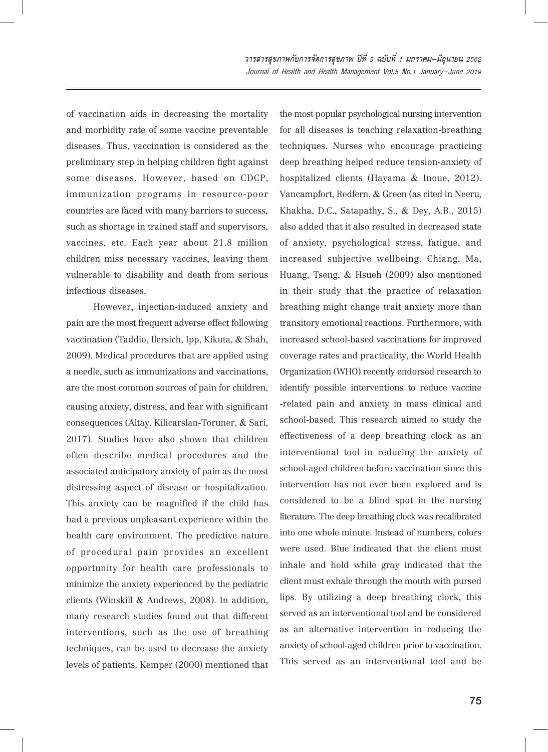of vaccination aids in decreasing the mortality and morbidity rate of some vaccine preventable diseases. Thus, vaccination is considered as the preliminary step in helping children fight against some diseases. However, based on CDCP, immunization programs in resource-poor countries are faced with many barriers to success, such as shortage in trained staff and supervisors, vaccines, etc. Each year about 21.8 million children miss necessary vaccines, leaving them vulnerable to disability and death from serious infectious diseases.

However, injection-induced anxiety and pain are the most frequent adverse effect following vaccination (Taddio, Ilersich, Ipp, Kikuta, & Shah, 2009). Medical procedures that are applied using a needle, such as immunizations and vaccinations, are the most common sources of pain for children, causing anxiety, distress, and fear with significant consequences (Altay, Kilicarslan-Toruner, & Sari, 2017). Studies have also shown that children often describe medical procedures and the associated anticipatory anxiety of pain as the most distressing aspect of disease or hospitalization. This anxiety can be magnified if the child has had a previous unpleasant experience within the health care environment. The predictive nature of procedural pain provides an excellent opportunity for health care professionals to minimize the anxiety experienced by the pediatric clients (Winskill & Andrews, 2008). In addition, many research studies found out that different interventions, such as the use of breathing techniques, can be used to decrease the anxiety levels of patients. Kemper (2000) mentioned that the most popular psychological nursing intervention for all diseases is teaching relaxation-breathing techniques. Nurses who encourage practicing deep breathing helped reduce tension-anxiety of hospitalized clients (Hayama & Inoue, 2012). Vancampfort, Redfern, & Green (as cited in Neeru, Khakha, D.C., Satapathy, S., & Dey, A.B., 2015) also added that it also resulted in decreased state of anxiety, psychological stress, fatigue, and increased subjective wellbeing. Chiang, Ma, Huang, Tseng, & Hsueh (2009) also mentioned in their study that the practice of relaxation breathing might change trait anxiety more than transitory emotional reactions. Furthermore, with increased school-based vaccinations for improved coverage rates and practicality, the World Health Organization (WHO) recently endorsed research to identify possible interventions to reduce vaccine -related pain and anxiety in mass clinical and school-based. This research aimed to study the effectiveness of a deep breathing clock as an interventional tool in reducing the anxiety of school-aged children before vaccination since this intervention has not ever been explored and is considered to be a blind spot in the nursing literature. The deep breathing clock was recalibrated into one whole minute. Instead of numbers, colors were used. Blue indicated that the client must inhale and hold while gray indicated that the client must exhale through the mouth with pursed lips. By utilizing a deep breathing clock, this served as an interventional tool and be considered as an alternative intervention in reducing the anxiety of school-aged children prior to vaccination. This served as an interventional tool and be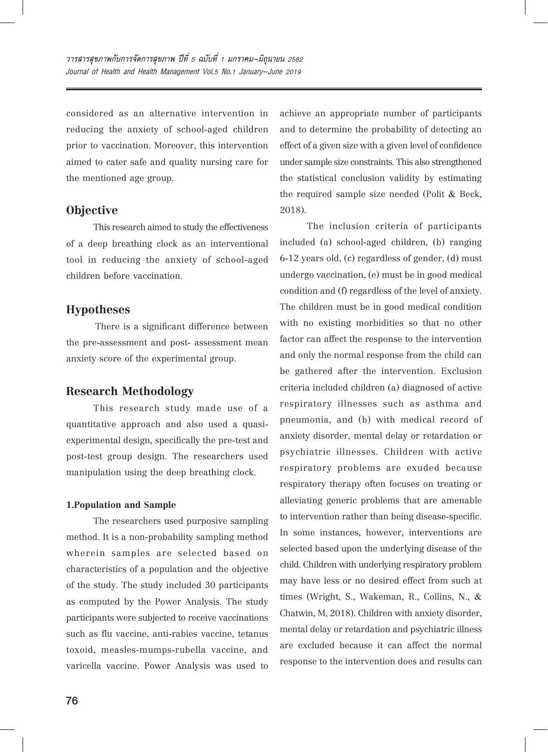considered as an alternative intervention in reducing the anxiety of school-aged children prior to vaccination. Moreover, this intervention aimed to cater safe and quality nursing care for the mentioned age group.

## **Objective**

This research aimed to study the effectiveness of a deep breathing clock as an interventional tool in reducing the anxiety of school-aged children before vaccination.

## **Hypotheses**

 There is a significant difference between the pre-assessment and post- assessment mean anxiety score of the experimental group.

### **Research Methodology**

This research study made use of a quantitative approach and also used a quasiexperimental design, specifically the pre-test and post-test group design. The researchers used manipulation using the deep breathing clock.

#### **1.Population and Sample**

The researchers used purposive sampling method. It is a non-probability sampling method wherein samples are selected based on characteristics of a population and the objective of the study. The study included 30 participants as computed by the Power Analysis. The study participants were subjected to receive vaccinations such as flu vaccine, anti-rabies vaccine, tetanus toxoid, measles-mumps-rubella vaccine, and varicella vaccine. Power Analysis was used to

achieve an appropriate number of participants and to determine the probability of detecting an effect of a given size with a given level of confidence under sample size constraints. This also strengthened the statistical conclusion validity by estimating the required sample size needed (Polit & Beck, 2018).

The inclusion criteria of participants included (a) school-aged children, (b) ranging 6-12 years old, (c) regardless of gender, (d) must undergo vaccination, (e) must be in good medical condition and (f) regardless of the level of anxiety. The children must be in good medical condition with no existing morbidities so that no other factor can affect the response to the intervention and only the normal response from the child can be gathered after the intervention. Exclusion criteria included children (a) diagnosed of active respiratory illnesses such as asthma and pneumonia, and (b) with medical record of anxiety disorder, mental delay or retardation or psychiatric illnesses. Children with active respiratory problems are exuded because respiratory therapy often focuses on treating or alleviating generic problems that are amenable to intervention rather than being disease-specific. In some instances, however, interventions are selected based upon the underlying disease of the child. Children with underlying respiratory problem may have less or no desired effect from such at times (Wright, S., Wakeman, R., Collins, N., & Chatwin, M, 2018). Children with anxiety disorder, mental delay or retardation and psychiatric illness are excluded because it can affect the normal response to the intervention does and results can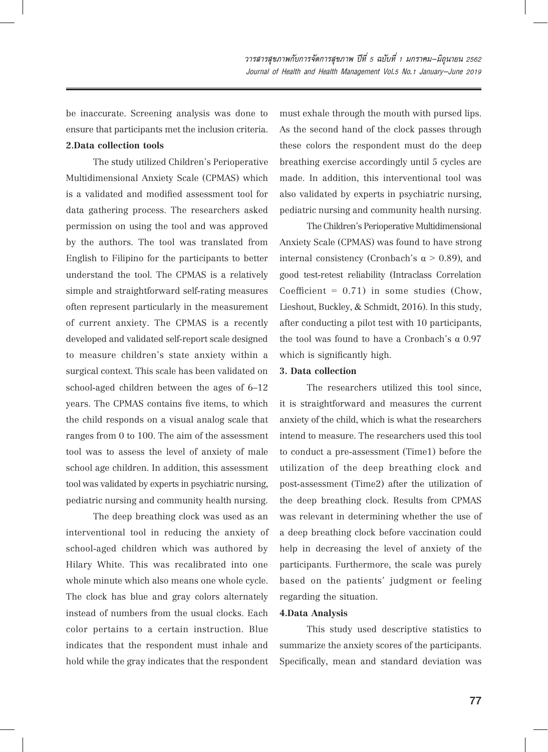be inaccurate. Screening analysis was done to ensure that participants met the inclusion criteria. **2.Data collection tools**

The study utilized Children's Perioperative Multidimensional Anxiety Scale (CPMAS) which is a validated and modified assessment tool for data gathering process. The researchers asked permission on using the tool and was approved by the authors. The tool was translated from English to Filipino for the participants to better understand the tool. The CPMAS is a relatively simple and straightforward self-rating measures often represent particularly in the measurement of current anxiety. The CPMAS is a recently developed and validated self-report scale designed to measure children's state anxiety within a surgical context. This scale has been validated on school-aged children between the ages of 6–12 years. The CPMAS contains five items, to which the child responds on a visual analog scale that ranges from 0 to 100. The aim of the assessment tool was to assess the level of anxiety of male school age children. In addition, this assessment tool was validated by experts in psychiatric nursing, pediatric nursing and community health nursing.

The deep breathing clock was used as an interventional tool in reducing the anxiety of school-aged children which was authored by Hilary White. This was recalibrated into one whole minute which also means one whole cycle. The clock has blue and gray colors alternately instead of numbers from the usual clocks. Each color pertains to a certain instruction. Blue indicates that the respondent must inhale and hold while the gray indicates that the respondent

must exhale through the mouth with pursed lips. As the second hand of the clock passes through these colors the respondent must do the deep breathing exercise accordingly until 5 cycles are made. In addition, this interventional tool was also validated by experts in psychiatric nursing, pediatric nursing and community health nursing.

The Children's Perioperative Multidimensional Anxiety Scale (CPMAS) was found to have strong internal consistency (Cronbach's  $\alpha$  > 0.89), and good test-retest reliability (Intraclass Correlation Coefficient =  $0.71$ ) in some studies (Chow, Lieshout, Buckley, & Schmidt, 2016). In this study, after conducting a pilot test with 10 participants, the tool was found to have a Cronbach's α $0.97$ which is significantly high.

#### **3. Data collection**

The researchers utilized this tool since, it is straightforward and measures the current anxiety of the child, which is what the researchers intend to measure. The researchers used this tool to conduct a pre-assessment (Time1) before the utilization of the deep breathing clock and post-assessment (Time2) after the utilization of the deep breathing clock. Results from CPMAS was relevant in determining whether the use of a deep breathing clock before vaccination could help in decreasing the level of anxiety of the participants. Furthermore, the scale was purely based on the patients' judgment or feeling regarding the situation.

#### **4.Data Analysis**

This study used descriptive statistics to summarize the anxiety scores of the participants. Specifically, mean and standard deviation was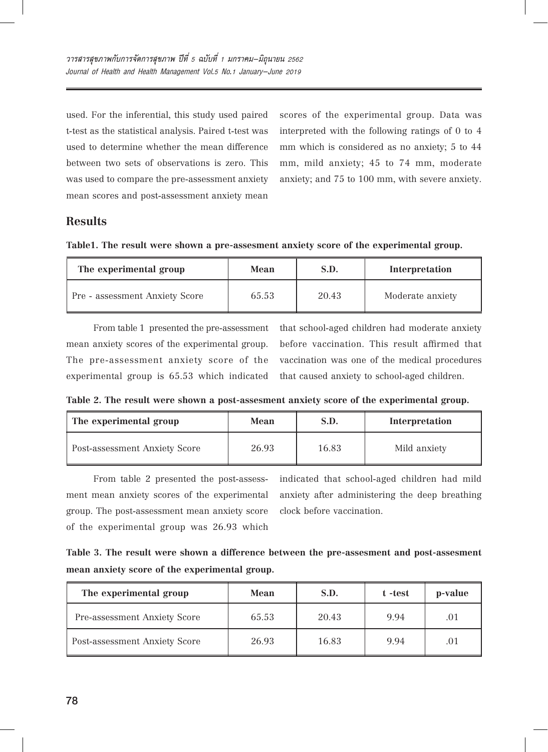used. For the inferential, this study used paired t-test as the statistical analysis. Paired t-test was used to determine whether the mean difference between two sets of observations is zero. This was used to compare the pre-assessment anxiety mean scores and post-assessment anxiety mean

scores of the experimental group. Data was interpreted with the following ratings of 0 to 4 mm which is considered as no anxiety; 5 to 44 mm, mild anxiety; 45 to 74 mm, moderate anxiety; and 75 to 100 mm, with severe anxiety.

# **Results**

|  |  |  | Table1. The result were shown a pre-assesment anxiety score of the experimental group. |  |  |  |  |
|--|--|--|----------------------------------------------------------------------------------------|--|--|--|--|
|--|--|--|----------------------------------------------------------------------------------------|--|--|--|--|

| The experimental group         | S.D.<br>Mean |       | Interpretation   |  |
|--------------------------------|--------------|-------|------------------|--|
| Pre - assessment Anxiety Score | 65.53        | 20.43 | Moderate anxiety |  |

From table 1 presented the pre-assessment mean anxiety scores of the experimental group. The pre-assessment anxiety score of the experimental group is 65.53 which indicated

that school-aged children had moderate anxiety before vaccination. This result affirmed that vaccination was one of the medical procedures that caused anxiety to school-aged children.

**Table 2. The result were shown a post-assesment anxiety score of the experimental group.**

| The experimental group        | S.D.<br>Mean |       | Interpretation |  |
|-------------------------------|--------------|-------|----------------|--|
| Post-assessment Anxiety Score | 26.93        | 16.83 | Mild anxiety   |  |

From table 2 presented the post-assessment mean anxiety scores of the experimental group. The post-assessment mean anxiety score of the experimental group was 26.93 which

indicated that school-aged children had mild anxiety after administering the deep breathing clock before vaccination.

**Table 3. The result were shown a difference between the pre-assesment and post-assesment mean anxiety score of the experimental group.**

| The experimental group        | Mean  | S.D.  | t -test | p-value |
|-------------------------------|-------|-------|---------|---------|
| Pre-assessment Anxiety Score  | 65.53 | 20.43 | 9.94    | .01     |
| Post-assessment Anxiety Score | 26.93 | 16.83 | 9.94    | .01     |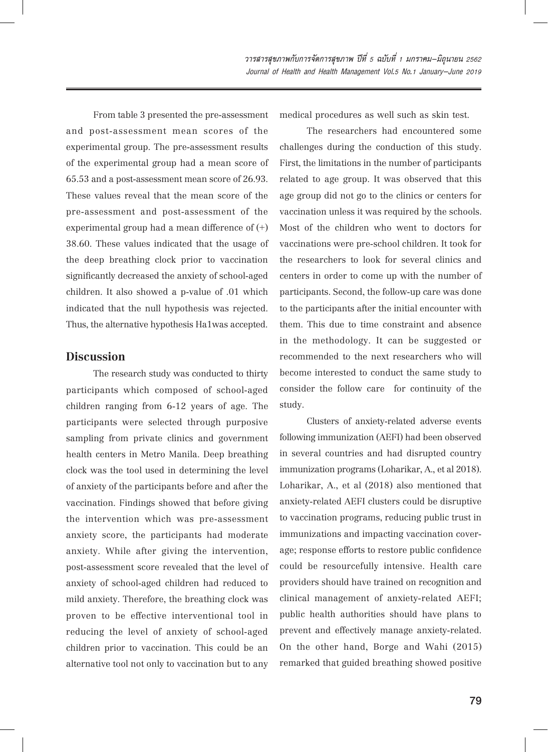วารสารสุขภาพกับการจัดการสุขภาพ ปีที่ 5 ฉบับที่ 1 มกราคม-มิถุนายน 2562 Journal of Health and Health Management Vol.5 No.1 January-June 2019

From table 3 presented the pre-assessment and post-assessment mean scores of the experimental group. The pre-assessment results of the experimental group had a mean score of 65.53 and a post-assessment mean score of 26.93. These values reveal that the mean score of the pre-assessment and post-assessment of the experimental group had a mean difference of  $(+)$ 38.60. These values indicated that the usage of the deep breathing clock prior to vaccination significantly decreased the anxiety of school-aged children. It also showed a p-value of .01 which indicated that the null hypothesis was rejected. Thus, the alternative hypothesis Ha1was accepted.

# **Discussion**

The research study was conducted to thirty participants which composed of school-aged children ranging from 6-12 years of age. The participants were selected through purposive sampling from private clinics and government health centers in Metro Manila. Deep breathing clock was the tool used in determining the level of anxiety of the participants before and after the vaccination. Findings showed that before giving the intervention which was pre-assessment anxiety score, the participants had moderate anxiety. While after giving the intervention, post-assessment score revealed that the level of anxiety of school-aged children had reduced to mild anxiety. Therefore, the breathing clock was proven to be effective interventional tool in reducing the level of anxiety of school-aged children prior to vaccination. This could be an alternative tool not only to vaccination but to any

medical procedures as well such as skin test.

The researchers had encountered some challenges during the conduction of this study. First, the limitations in the number of participants related to age group. It was observed that this age group did not go to the clinics or centers for vaccination unless it was required by the schools. Most of the children who went to doctors for vaccinations were pre-school children. It took for the researchers to look for several clinics and centers in order to come up with the number of participants. Second, the follow-up care was done to the participants after the initial encounter with them. This due to time constraint and absence in the methodology. It can be suggested or recommended to the next researchers who will become interested to conduct the same study to consider the follow care for continuity of the study.

Clusters of anxiety-related adverse events following immunization (AEFI) had been observed in several countries and had disrupted country immunization programs (Loharikar, A., et al 2018). Loharikar, A., et al (2018) also mentioned that anxiety-related AEFI clusters could be disruptive to vaccination programs, reducing public trust in immunizations and impacting vaccination coverage; response efforts to restore public confidence could be resourcefully intensive. Health care providers should have trained on recognition and clinical management of anxiety-related AEFI; public health authorities should have plans to prevent and effectively manage anxiety-related. On the other hand, Borge and Wahi (2015) remarked that guided breathing showed positive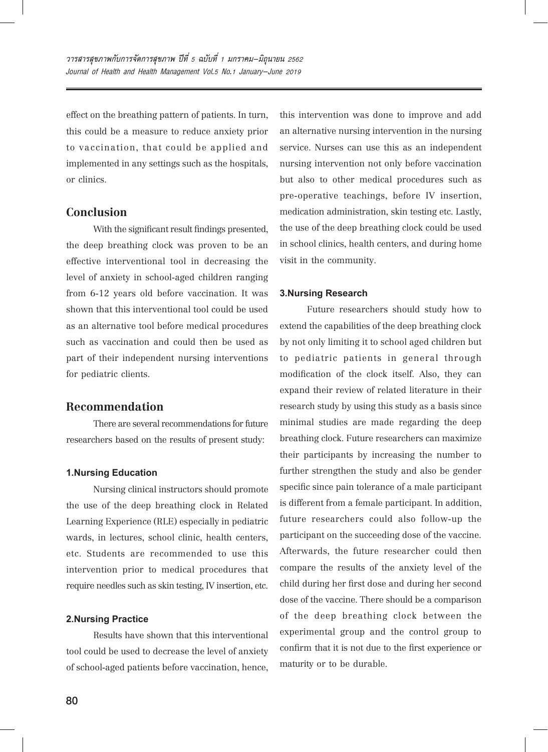effect on the breathing pattern of patients. In turn, this could be a measure to reduce anxiety prior to vaccination, that could be applied and implemented in any settings such as the hospitals, or clinics.

# **Conclusion**

With the significant result findings presented, the deep breathing clock was proven to be an effective interventional tool in decreasing the level of anxiety in school-aged children ranging from 6-12 years old before vaccination. It was shown that this interventional tool could be used as an alternative tool before medical procedures such as vaccination and could then be used as part of their independent nursing interventions for pediatric clients.

### **Recommendation**

There are several recommendations for future researchers based on the results of present study:

#### **1.Nursing Education**

Nursing clinical instructors should promote the use of the deep breathing clock in Related Learning Experience (RLE) especially in pediatric wards, in lectures, school clinic, health centers, etc. Students are recommended to use this intervention prior to medical procedures that require needles such as skin testing, IV insertion, etc.

### **2.Nursing Practice**

Results have shown that this interventional tool could be used to decrease the level of anxiety of school-aged patients before vaccination, hence, this intervention was done to improve and add an alternative nursing intervention in the nursing service. Nurses can use this as an independent nursing intervention not only before vaccination but also to other medical procedures such as pre-operative teachings, before IV insertion, medication administration, skin testing etc. Lastly, the use of the deep breathing clock could be used in school clinics, health centers, and during home visit in the community.

#### **3.Nursing Research**

Future researchers should study how to extend the capabilities of the deep breathing clock by not only limiting it to school aged children but to pediatric patients in general through modification of the clock itself. Also, they can expand their review of related literature in their research study by using this study as a basis since minimal studies are made regarding the deep breathing clock. Future researchers can maximize their participants by increasing the number to further strengthen the study and also be gender specific since pain tolerance of a male participant is different from a female participant. In addition, future researchers could also follow-up the participant on the succeeding dose of the vaccine. Afterwards, the future researcher could then compare the results of the anxiety level of the child during her first dose and during her second dose of the vaccine. There should be a comparison of the deep breathing clock between the experimental group and the control group to confirm that it is not due to the first experience or maturity or to be durable.